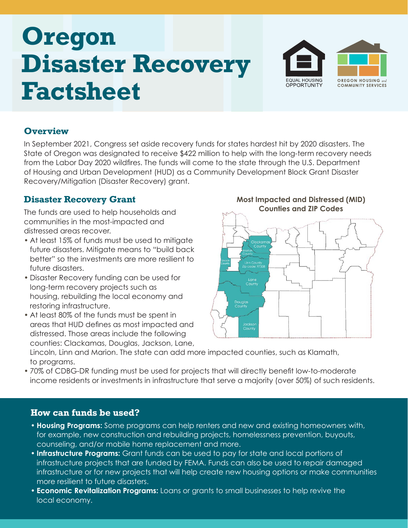# **Oregon Disaster Recovery Factsheet**



#### **Overview**

In September 2021, Congress set aside recovery funds for states hardest hit by 2020 disasters. The State of Oregon was designated to receive \$422 million to help with the long-term recovery needs from the Labor Day 2020 wildfires. The funds will come to the state through the U.S. Department of Housing and Urban Development (HUD) as a Community Development Block Grant Disaster Recovery/Mitigation (Disaster Recovery) grant.

#### **Disaster Recovery Grant**

The funds are used to help households and communities in the most-impacted and distressed areas recover.

- At least 15% of funds must be used to mitigate future disasters. Mitigate means to "build back better" so the investments are more resilient to future disasters.
- Disaster Recovery funding can be used for long-term recovery projects such as housing, rebuilding the local economy and restoring infrastructure.
- At least 80% of the funds must be spent in areas that HUD defines as most impacted and distressed. Those areas include the following counties: Clackamas, Douglas, Jackson, Lane,

## **Most Impacted and Distressed (MID)**



Lincoln, Linn and Marion. The state can add more impacted counties, such as Klamath, to programs.

• 70% of CDBG-DR funding must be used for projects that will directly benefit low-to-moderate income residents or investments in infrastructure that serve a majority (over 50%) of such residents.

#### **How can funds be used?**

- **Housing Programs:** Some programs can help renters and new and existing homeowners with, for example, new construction and rebuilding projects, homelessness prevention, buyouts, counseling, and/or mobile home replacement and more.
- **Infrastructure Programs:** Grant funds can be used to pay for state and local portions of infrastructure projects that are funded by FEMA. Funds can also be used to repair damaged infrastructure or for new projects that will help create new housing options or make communities more resilient to future disasters.
- **Economic Revitalization Programs:** Loans or grants to small businesses to help revive the local economy.